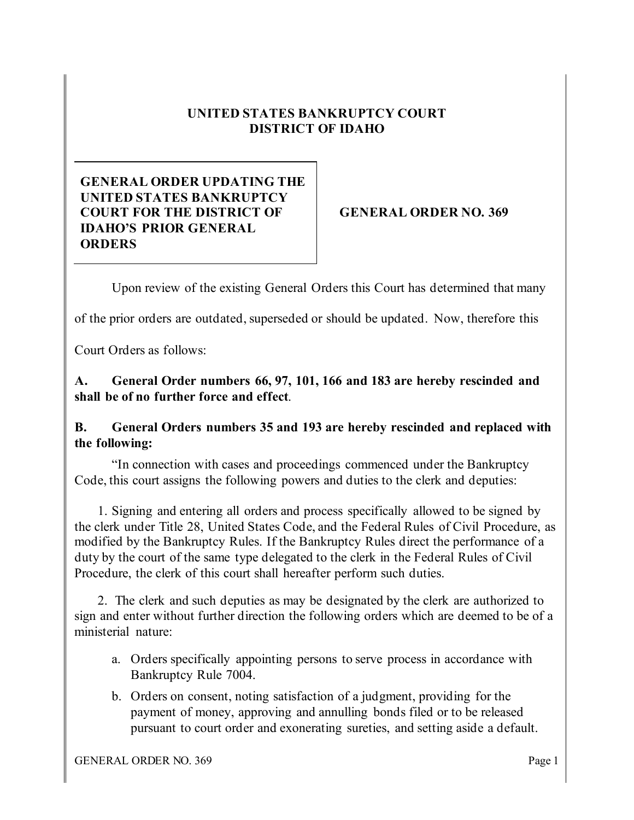# **UNITED STATES BANKRUPTCY COURT DISTRICT OF IDAHO**

## **GENERAL ORDER UPDATING THE UNITED STATES BANKRUPTCY COURT FOR THE DISTRICT OF IDAHO'S PRIOR GENERAL ORDERS**

#### **GENERAL ORDER NO. 369**

Upon review of the existing General Orders this Court has determined that many

of the prior orders are outdated, superseded or should be updated. Now, therefore this

Court Orders as follows:

### **A. General Order numbers 66, 97, 101, 166 and 183 are hereby rescinded and shall be of no further force and effect**.

#### **B. General Orders numbers 35 and 193 are hereby rescinded and replaced with the following:**

"In connection with cases and proceedings commenced under the Bankruptcy Code, this court assigns the following powers and duties to the clerk and deputies:

1. Signing and entering all orders and process specifically allowed to be signed by the clerk under Title 28, United States Code, and the Federal Rules of Civil Procedure, as modified by the Bankruptcy Rules. If the Bankruptcy Rules direct the performance of a duty by the court of the same type delegated to the clerk in the Federal Rules of Civil Procedure, the clerk of this court shall hereafter perform such duties.

2. The clerk and such deputies as may be designated by the clerk are authorized to sign and enter without further direction the following orders which are deemed to be of a ministerial nature:

- a. Orders specifically appointing persons to serve process in accordance with Bankruptcy Rule 7004.
- b. Orders on consent, noting satisfaction of a judgment, providing for the payment of money, approving and annulling bonds filed or to be released pursuant to court order and exonerating sureties, and setting aside a default.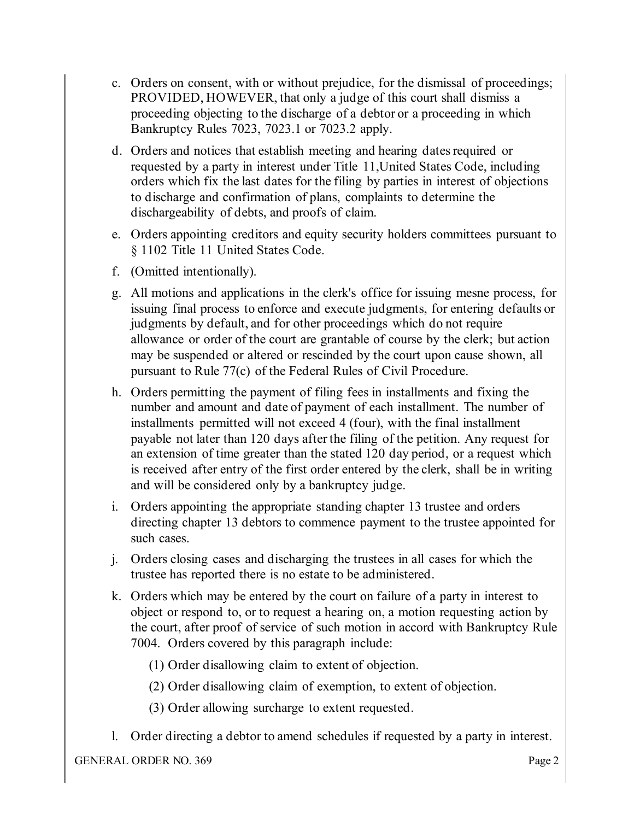- c. Orders on consent, with or without prejudice, for the dismissal of proceedings; PROVIDED, HOWEVER, that only a judge of this court shall dismiss a proceeding objecting to the discharge of a debtor or a proceeding in which Bankruptcy Rules 7023, 7023.1 or 7023.2 apply.
- d. Orders and notices that establish meeting and hearing datesrequired or requested by a party in interest under Title 11,United States Code, including orders which fix the last dates for the filing by parties in interest of objections to discharge and confirmation of plans, complaints to determine the dischargeability of debts, and proofs of claim.
- e. Orders appointing creditors and equity security holders committees pursuant to § 1102 Title 11 United States Code.
- f. (Omitted intentionally).
- g. All motions and applications in the clerk's office for issuing mesne process, for issuing final process to enforce and execute judgments, for entering defaults or judgments by default, and for other proceedings which do not require allowance or order of the court are grantable of course by the clerk; but action may be suspended or altered or rescinded by the court upon cause shown, all pursuant to Rule 77(c) of the Federal Rules of Civil Procedure.
- h. Orders permitting the payment of filing fees in installments and fixing the number and amount and date of payment of each installment. The number of installments permitted will not exceed 4 (four), with the final installment payable not later than 120 days after the filing of the petition. Any request for an extension of time greater than the stated 120 day period, or a request which is received after entry of the first order entered by the clerk, shall be in writing and will be considered only by a bankruptcy judge.
- i. Orders appointing the appropriate standing chapter 13 trustee and orders directing chapter 13 debtors to commence payment to the trustee appointed for such cases.
- j. Orders closing cases and discharging the trustees in all cases for which the trustee has reported there is no estate to be administered.
- k. Orders which may be entered by the court on failure of a party in interest to object or respond to, or to request a hearing on, a motion requesting action by the court, after proof of service of such motion in accord with Bankruptcy Rule 7004. Orders covered by this paragraph include:
	- (1) Order disallowing claim to extent of objection.
	- (2) Order disallowing claim of exemption, to extent of objection.
	- (3) Order allowing surcharge to extent requested.
- l. Order directing a debtor to amend schedules if requested by a party in interest.

GENERAL ORDER NO. 369 Page 2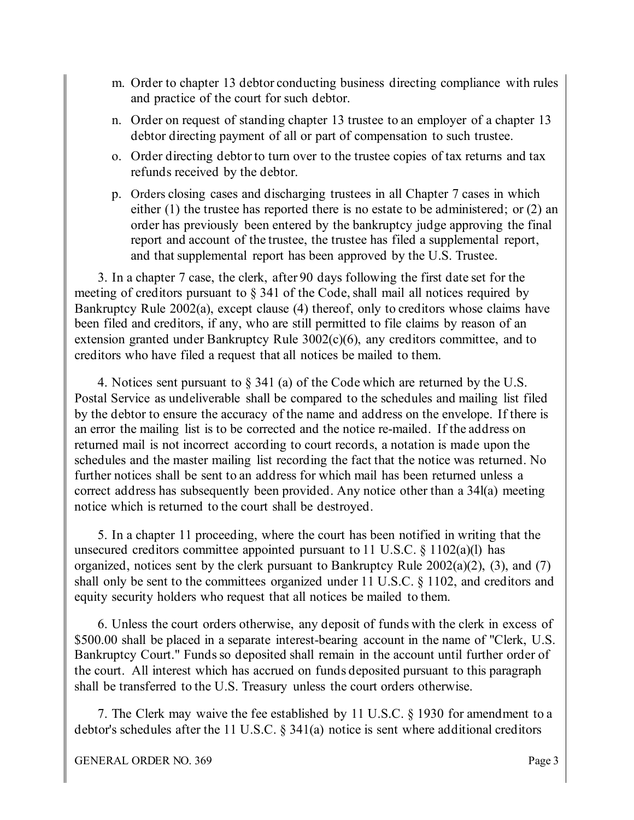- m. Order to chapter 13 debtor conducting business directing compliance with rules and practice of the court for such debtor.
- n. Order on request of standing chapter 13 trustee to an employer of a chapter 13 debtor directing payment of all or part of compensation to such trustee.
- o. Order directing debtor to turn over to the trustee copies of tax returns and tax refunds received by the debtor.
- p. Orders closing cases and discharging trustees in all Chapter 7 cases in which either (1) the trustee has reported there is no estate to be administered; or (2) an order has previously been entered by the bankruptcy judge approving the final report and account of the trustee, the trustee has filed a supplemental report, and that supplemental report has been approved by the U.S. Trustee.

3. In a chapter 7 case, the clerk, after 90 days following the first date set for the meeting of creditors pursuant to § 341 of the Code, shall mail all notices required by Bankruptcy Rule 2002(a), except clause (4) thereof, only to creditors whose claims have been filed and creditors, if any, who are still permitted to file claims by reason of an extension granted under Bankruptcy Rule 3002(c)(6), any creditors committee, and to creditors who have filed a request that all notices be mailed to them.

4. Notices sent pursuant to § 341 (a) of the Code which are returned by the U.S. Postal Service as undeliverable shall be compared to the schedules and mailing list filed by the debtor to ensure the accuracy of the name and address on the envelope. If there is an error the mailing list is to be corrected and the notice re-mailed. If the address on returned mail is not incorrect according to court records, a notation is made upon the schedules and the master mailing list recording the fact that the notice was returned. No further notices shall be sent to an address for which mail has been returned unless a correct address has subsequently been provided. Any notice other than a 34l(a) meeting notice which is returned to the court shall be destroyed.

5. In a chapter 11 proceeding, where the court has been notified in writing that the unsecured creditors committee appointed pursuant to 11 U.S.C.  $\S 1102(a)(l)$  has organized, notices sent by the clerk pursuant to Bankruptcy Rule  $2002(a)(2)$ , (3), and (7) shall only be sent to the committees organized under 11 U.S.C. § 1102, and creditors and equity security holders who request that all notices be mailed to them.

6. Unless the court orders otherwise, any deposit of funds with the clerk in excess of \$500.00 shall be placed in a separate interest-bearing account in the name of "Clerk, U.S. Bankruptcy Court." Funds so deposited shall remain in the account until further order of the court. All interest which has accrued on funds deposited pursuant to this paragraph shall be transferred to the U.S. Treasury unless the court orders otherwise.

7. The Clerk may waive the fee established by 11 U.S.C. § 1930 for amendment to a debtor's schedules after the 11 U.S.C. § 341(a) notice is sent where additional creditors